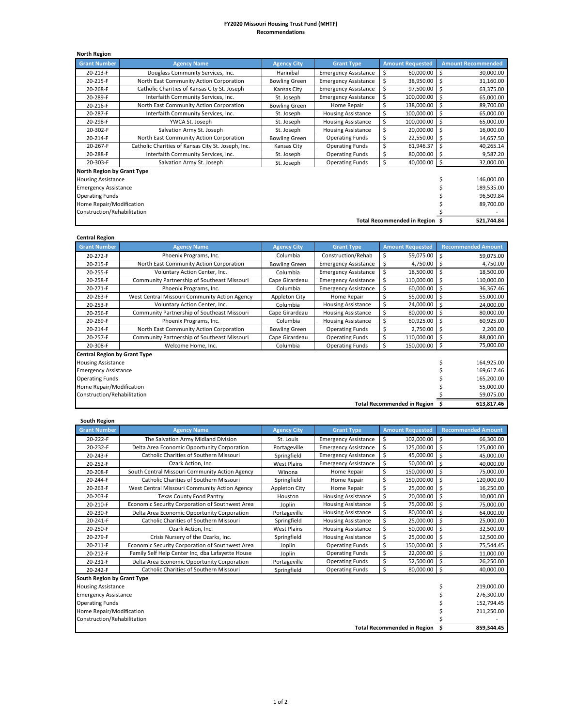## **FY2020 Missouri Housing Trust Fund (MHTF) Recommendations**

| <b>North Region</b>               |                                                    |                      |                             |   |                                    |            |                           |
|-----------------------------------|----------------------------------------------------|----------------------|-----------------------------|---|------------------------------------|------------|---------------------------|
| <b>Grant Number</b>               | <b>Agency Name</b>                                 | <b>Agency City</b>   | <b>Grant Type</b>           |   | <b>Amount Requested</b>            |            | <b>Amount Recommended</b> |
| 20-213-F                          | Douglass Community Services, Inc.                  | Hannibal             | <b>Emergency Assistance</b> | S | 60,000.00                          | ۱Ś         | 30,000.00                 |
| 20-215-F                          | North East Community Action Corporation            | <b>Bowling Green</b> | <b>Emergency Assistance</b> | Ś | 38,950.00                          | -\$        | 31,160.00                 |
| 20-268-F                          | Catholic Charities of Kansas City St. Joseph       | Kansas City          | <b>Emergency Assistance</b> |   | 97,500.00                          | -Ś         | 63,375.00                 |
| 20-289-F                          | Interfaith Community Services, Inc.                | St. Joseph           | <b>Emergency Assistance</b> |   | 100,000.00                         | -\$        | 65,000.00                 |
| 20-216-F                          | North East Community Action Corporation            | <b>Bowling Green</b> | Home Repair                 | Ś | 138,000.00                         | -\$        | 89,700.00                 |
| 20-287-F                          | Interfaith Community Services, Inc.                | St. Joseph           | <b>Housing Assistance</b>   | Ś | 100,000.00                         | -\$        | 65,000.00                 |
| 20-298-F                          | YWCA St. Joseph                                    | St. Joseph           | <b>Housing Assistance</b>   |   | 100,000.00                         | \$         | 65,000.00                 |
| 20-302-F                          | Salvation Army St. Joseph                          | St. Joseph           | <b>Housing Assistance</b>   |   | 20,000.00                          | \$         | 16,000.00                 |
| 20-214-F                          | North East Community Action Corporation            | <b>Bowling Green</b> | <b>Operating Funds</b>      | Ś | 22,550.00                          | Ŝ.         | 14,657.50                 |
| 20-267-F                          | Catholic Charities of Kansas City St. Joseph, Inc. | Kansas City          | <b>Operating Funds</b>      | Ś | 61,946.37                          | \$         | 40,265.14                 |
| 20-288-F                          | Interfaith Community Services, Inc.                | St. Joseph           | <b>Operating Funds</b>      | Ś | 80,000.00                          | Ŝ          | 9,587.20                  |
| 20-303-F                          | Salvation Army St. Joseph                          | St. Joseph           | <b>Operating Funds</b>      | Ś | 40,000.00                          | -\$        | 32,000.00                 |
| <b>North Region by Grant Type</b> |                                                    |                      |                             |   |                                    |            |                           |
| <b>Housing Assistance</b>         |                                                    |                      |                             |   |                                    |            | 146,000.00                |
| <b>Emergency Assistance</b>       |                                                    |                      |                             |   |                                    | 189,535.00 |                           |
| <b>Operating Funds</b>            |                                                    |                      |                             |   |                                    | 96,509.84  |                           |
| Home Repair/Modification          |                                                    |                      |                             |   |                                    | 89,700.00  |                           |
| Construction/Rehabilitation       |                                                    |                      |                             |   |                                    |            |                           |
|                                   |                                                    |                      |                             |   | <b>Total Recommended in Region</b> |            | 521,744.84                |

## **Central Region**

| CENNAI NESION                       |                                               |                      |                             |                                    |   |                           |
|-------------------------------------|-----------------------------------------------|----------------------|-----------------------------|------------------------------------|---|---------------------------|
| <b>Grant Number</b>                 | <b>Agency Name</b>                            | <b>Agency City</b>   | <b>Grant Type</b>           | <b>Amount Requested</b>            |   | <b>Recommended Amount</b> |
| 20-272-F                            | Phoenix Programs, Inc.                        | Columbia             | Construction/Rehab          | 59,075.00<br>\$                    |   | 59,075.00                 |
| 20-215-F                            | North East Community Action Corporation       | <b>Bowling Green</b> | <b>Emergency Assistance</b> | \$<br>4,750.00                     | Ś | 4,750.00                  |
| 20-255-F                            | Voluntary Action Center, Inc.                 | Columbia             | <b>Emergency Assistance</b> | \$<br>18,500.00                    | Ś | 18,500.00                 |
| 20-258-F                            | Community Partnership of Southeast Missouri   | Cape Girardeau       | <b>Emergency Assistance</b> | \$<br>110,000.00                   | Ś | 110,000.00                |
| 20-271-F                            | Phoenix Programs, Inc.                        | Columbia             | <b>Emergency Assistance</b> | \$<br>60,000.00                    | s | 36,367.46                 |
| 20-263-F                            | West Central Missouri Community Action Agency | Appleton City        | Home Repair                 | \$<br>55,000.00                    | Ś | 55,000.00                 |
| 20-253-F                            | Voluntary Action Center, Inc.                 | Columbia             | <b>Housing Assistance</b>   | \$<br>24,000.00                    | Ś | 24,000.00                 |
| 20-256-F                            | Community Partnership of Southeast Missouri   | Cape Girardeau       | <b>Housing Assistance</b>   | \$<br>80,000.00                    | Ś | 80,000.00                 |
| 20-269-F                            | Phoenix Programs, Inc.                        | Columbia             | <b>Housing Assistance</b>   | Ś<br>60,925.00                     | Ś | 60,925.00                 |
| 20-214-F                            | North East Community Action Corporation       | <b>Bowling Green</b> | <b>Operating Funds</b>      | \$<br>2,750.00                     | Ś | 2,200.00                  |
| 20-257-F                            | Community Partnership of Southeast Missouri   | Cape Girardeau       | <b>Operating Funds</b>      | \$<br>110,000.00                   |   | 88,000.00                 |
| 20-308-F                            | Welcome Home, Inc.                            | Columbia             | <b>Operating Funds</b>      | \$<br>150,000.00 \$                |   | 75,000.00                 |
| <b>Central Region by Grant Type</b> |                                               |                      |                             |                                    |   |                           |
| <b>Housing Assistance</b>           |                                               |                      |                             |                                    |   | 164,925.00                |
| <b>Emergency Assistance</b>         |                                               |                      |                             |                                    |   | 169,617.46                |
| <b>Operating Funds</b>              |                                               |                      |                             |                                    |   | 165,200.00                |
| Home Repair/Modification            |                                               |                      |                             |                                    |   | 55,000.00                 |
| Construction/Rehabilitation         |                                               |                      |                             |                                    |   | 59,075.00                 |
|                                     |                                               |                      |                             | <b>Total Recommended in Region</b> |   | 613,817.46                |

| <b>South Region</b> |
|---------------------|

| <b>Grant Number</b>                | <b>Agency Name</b>                               | <b>Agency City</b> | <b>Grant Type</b>           | <b>Amount Requested</b> |     | <b>Recommended Amount</b> |
|------------------------------------|--------------------------------------------------|--------------------|-----------------------------|-------------------------|-----|---------------------------|
| 20-222-F                           | The Salvation Army Midland Division              | St. Louis          | <b>Emergency Assistance</b> | \$<br>102,000.00        | \$  | 66,300.00                 |
| 20-232-F                           | Delta Area Economic Opportunity Corporation      | Portageville       | <b>Emergency Assistance</b> | \$<br>125,000.00        | Ś   | 125,000.00                |
| 20-243-F                           | <b>Catholic Charities of Southern Missouri</b>   | Springfield        | <b>Emergency Assistance</b> | \$<br>45,000.00         | \$  | 45,000.00                 |
| 20-252-F                           | Ozark Action, Inc.                               | <b>West Plains</b> | <b>Emergency Assistance</b> | \$<br>50,000.00         | \$  | 40,000.00                 |
| 20-208-F                           | South Central Missouri Community Action Agency   | Winona             | Home Repair                 | \$<br>150,000.00        | \$  | 75,000.00                 |
| 20-244-F                           | Catholic Charities of Southern Missouri          | Springfield        | Home Repair                 | \$<br>150,000.00        | \$  | 120,000.00                |
| 20-263-F                           | West Central Missouri Community Action Agency    | Appleton City      | Home Repair                 | Ś<br>25,000.00          | \$  | 16,250.00                 |
| 20-203-F                           | <b>Texas County Food Pantry</b>                  | Houston            | <b>Housing Assistance</b>   | \$<br>20,000.00         | Ś   | 10,000.00                 |
| 20-210-F                           | Economic Security Corporation of Southwest Area  | Joplin             | <b>Housing Assistance</b>   | \$<br>75,000.00         | Ś   | 75,000.00                 |
| 20-230-F                           | Delta Area Economic Opportunity Corporation      | Portageville       | <b>Housing Assistance</b>   | \$<br>80,000.00         | \$  | 64,000.00                 |
| 20-241-F                           | Catholic Charities of Southern Missouri          | Springfield        | <b>Housing Assistance</b>   | \$<br>25,000.00         | \$  | 25,000.00                 |
| 20-250-F                           | Ozark Action, Inc.                               | <b>West Plains</b> | Housing Assistance          | \$<br>50,000.00         | \$  | 32,500.00                 |
| 20-279-F                           | Crisis Nursery of the Ozarks, Inc.               | Springfield        | <b>Housing Assistance</b>   | \$<br>25,000.00         | \$  | 12,500.00                 |
| 20-211-F                           | Economic Security Corporation of Southwest Area  | Joplin             | <b>Operating Funds</b>      | \$<br>150.000.00        | \$  | 75,544.45                 |
| 20-212-F                           | Family Self Help Center Inc, dba Lafayette House | Joplin             | <b>Operating Funds</b>      | \$<br>22,000.00         | Ś   | 11,000.00                 |
| 20-231-F                           | Delta Area Economic Opportunity Corporation      | Portageville       | <b>Operating Funds</b>      | Ś<br>52,500.00          | \$  | 26,250.00                 |
| 20-242-F                           | Catholic Charities of Southern Missouri          | Springfield        | <b>Operating Funds</b>      | \$<br>80,000.00         | \$. | 40,000.00                 |
| South Region by Grant Type         |                                                  |                    |                             |                         |     |                           |
| <b>Housing Assistance</b>          |                                                  |                    |                             |                         |     | 219,000.00                |
| <b>Emergency Assistance</b>        |                                                  |                    |                             |                         |     | 276,300.00                |
| <b>Operating Funds</b>             |                                                  |                    |                             |                         |     | 152,794.45                |
| Home Repair/Modification           |                                                  |                    |                             |                         |     | 211,250.00                |
| Construction/Rehabilitation        |                                                  |                    |                             |                         |     |                           |
| <b>Total Recommended in Region</b> |                                                  |                    |                             |                         |     | 859,344.45                |